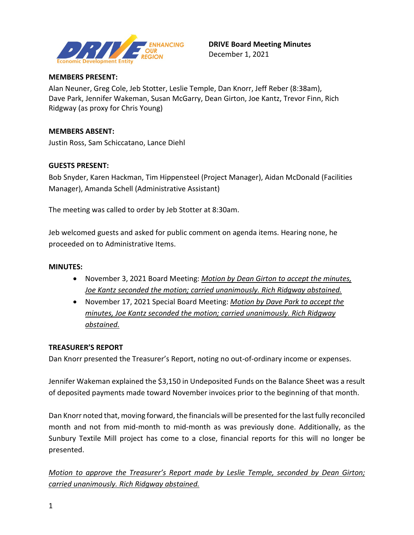

### **MEMBERS PRESENT:**

Alan Neuner, Greg Cole, Jeb Stotter, Leslie Temple, Dan Knorr, Jeff Reber (8:38am), Dave Park, Jennifer Wakeman, Susan McGarry, Dean Girton, Joe Kantz, Trevor Finn, Rich Ridgway (as proxy for Chris Young)

### **MEMBERS ABSENT:**

Justin Ross, Sam Schiccatano, Lance Diehl

## **GUESTS PRESENT:**

Bob Snyder, Karen Hackman, Tim Hippensteel (Project Manager), Aidan McDonald (Facilities Manager), Amanda Schell (Administrative Assistant)

The meeting was called to order by Jeb Stotter at 8:30am.

Jeb welcomed guests and asked for public comment on agenda items. Hearing none, he proceeded on to Administrative Items.

#### **MINUTES:**

- November 3, 2021 Board Meeting: *Motion by Dean Girton to accept the minutes, Joe Kantz seconded the motion; carried unanimously. Rich Ridgway abstained.*
- November 17, 2021 Special Board Meeting: *Motion by Dave Park to accept the minutes, Joe Kantz seconded the motion; carried unanimously. Rich Ridgway abstained.*

### **TREASURER'S REPORT**

Dan Knorr presented the Treasurer's Report, noting no out-of-ordinary income or expenses.

Jennifer Wakeman explained the \$3,150 in Undeposited Funds on the Balance Sheet was a result of deposited payments made toward November invoices prior to the beginning of that month.

Dan Knorr noted that, moving forward, the financials will be presented for the last fully reconciled month and not from mid-month to mid-month as was previously done. Additionally, as the Sunbury Textile Mill project has come to a close, financial reports for this will no longer be presented.

*Motion to approve the Treasurer's Report made by Leslie Temple, seconded by Dean Girton; carried unanimously. Rich Ridgway abstained.*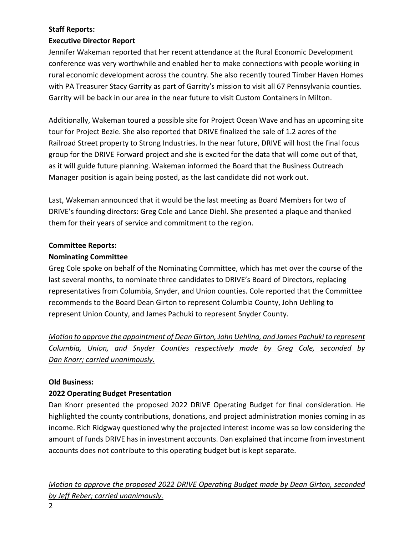# **Staff Reports:**

## **Executive Director Report**

Jennifer Wakeman reported that her recent attendance at the Rural Economic Development conference was very worthwhile and enabled her to make connections with people working in rural economic development across the country. She also recently toured Timber Haven Homes with PA Treasurer Stacy Garrity as part of Garrity's mission to visit all 67 Pennsylvania counties. Garrity will be back in our area in the near future to visit Custom Containers in Milton.

Additionally, Wakeman toured a possible site for Project Ocean Wave and has an upcoming site tour for Project Bezie. She also reported that DRIVE finalized the sale of 1.2 acres of the Railroad Street property to Strong Industries. In the near future, DRIVE will host the final focus group for the DRIVE Forward project and she is excited for the data that will come out of that, as it will guide future planning. Wakeman informed the Board that the Business Outreach Manager position is again being posted, as the last candidate did not work out.

Last, Wakeman announced that it would be the last meeting as Board Members for two of DRIVE's founding directors: Greg Cole and Lance Diehl. She presented a plaque and thanked them for their years of service and commitment to the region.

## **Committee Reports:**

## **Nominating Committee**

Greg Cole spoke on behalf of the Nominating Committee, which has met over the course of the last several months, to nominate three candidates to DRIVE's Board of Directors, replacing representatives from Columbia, Snyder, and Union counties. Cole reported that the Committee recommends to the Board Dean Girton to represent Columbia County, John Uehling to represent Union County, and James Pachuki to represent Snyder County.

*Motion to approve the appointment of Dean Girton, John Uehling, and James Pachuki to represent Columbia, Union, and Snyder Counties respectively made by Greg Cole, seconded by Dan Knorr; carried unanimously.*

### **Old Business:**

## **2022 Operating Budget Presentation**

Dan Knorr presented the proposed 2022 DRIVE Operating Budget for final consideration. He highlighted the county contributions, donations, and project administration monies coming in as income. Rich Ridgway questioned why the projected interest income was so low considering the amount of funds DRIVE has in investment accounts. Dan explained that income from investment accounts does not contribute to this operating budget but is kept separate.

*Motion to approve the proposed 2022 DRIVE Operating Budget made by Dean Girton, seconded by Jeff Reber; carried unanimously.*